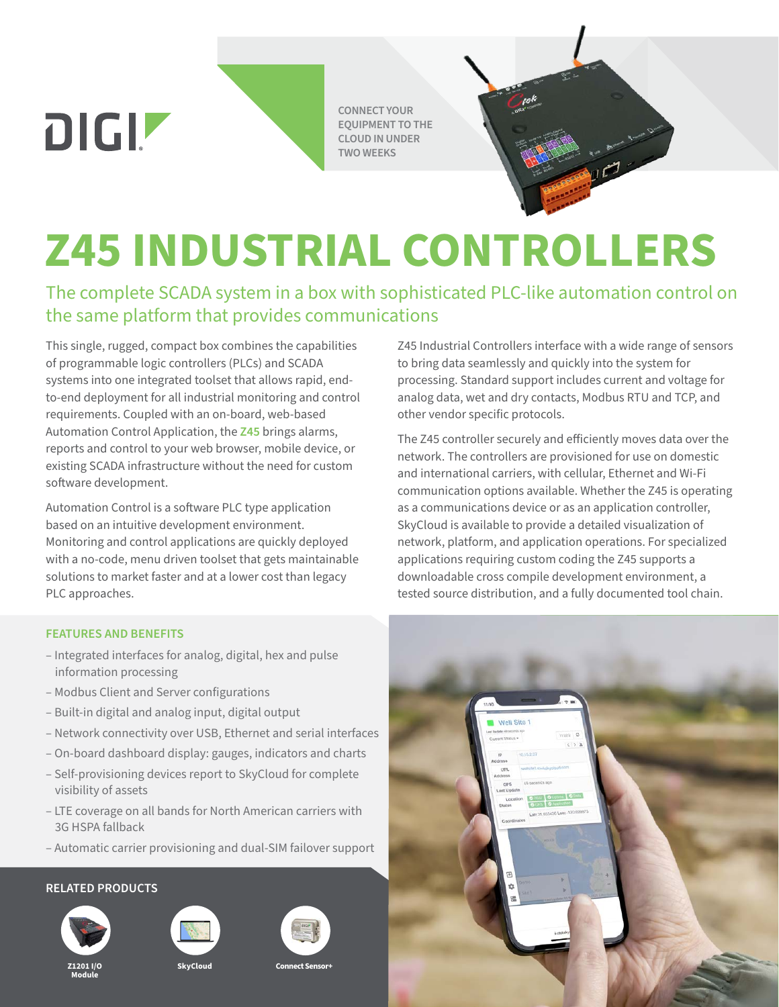DIGIZ

**CONNECT YOUR EQUIPMENT TO THE CLOUD IN UNDER TWO WEEKS**

# **Z45 INDUSTRIAL CONTROLLERS**

The complete SCADA system in a box with sophisticated PLC-like automation control on the same platform that provides communications

This single, rugged, compact box combines the capabilities of programmable logic controllers (PLCs) and SCADA systems into one integrated toolset that allows rapid, endto-end deployment for all industrial monitoring and control requirements. Coupled with an on-board, web-based Automation Control Application, the **[Z45](https://www.digi.com/products/networking/infrastructure-management/sensor-connectivity/z45-industrial-controllers)** brings alarms, reports and control to your web browser, mobile device, or existing SCADA infrastructure without the need for custom software development.

Automation Control is a software PLC type application based on an intuitive development environment. Monitoring and control applications are quickly deployed with a no-code, menu driven toolset that gets maintainable solutions to market faster and at a lower cost than legacy PLC approaches.

#### **FEATURES AND BENEFITS**

- Integrated interfaces for analog, digital, hex and pulse information processing
- Modbus Client and Server configurations
- Built-in digital and analog input, digital output
- Network connectivity over USB, Ethernet and serial interfaces
- On-board dashboard display: gauges, indicators and charts
- Self-provisioning devices report to SkyCloud for complete visibility of assets
- LTE coverage on all bands for North American carriers with 3G HSPA fallback
- Automatic carrier provisioning and dual-SIM failover support

#### **RELATED PRODUCTS**





**SkyCloud**





**Connect Sensor+**

Z45 Industrial Controllers interface with a wide range of sensors to bring data seamlessly and quickly into the system for processing. Standard support includes current and voltage for analog data, wet and dry contacts, Modbus RTU and TCP, and other vendor specific protocols.

The Z45 controller securely and efficiently moves data over the network. The controllers are provisioned for use on domestic and international carriers, with cellular, Ethernet and Wi-Fi communication options available. Whether the Z45 is operating as a communications device or as an application controller, SkyCloud is available to provide a detailed visualization of network, platform, and application operations. For specialized applications requiring custom coding the Z45 supports a downloadable cross compile development environment, a tested source distribution, and a fully documented tool chain.



**Z1201 I/O Module**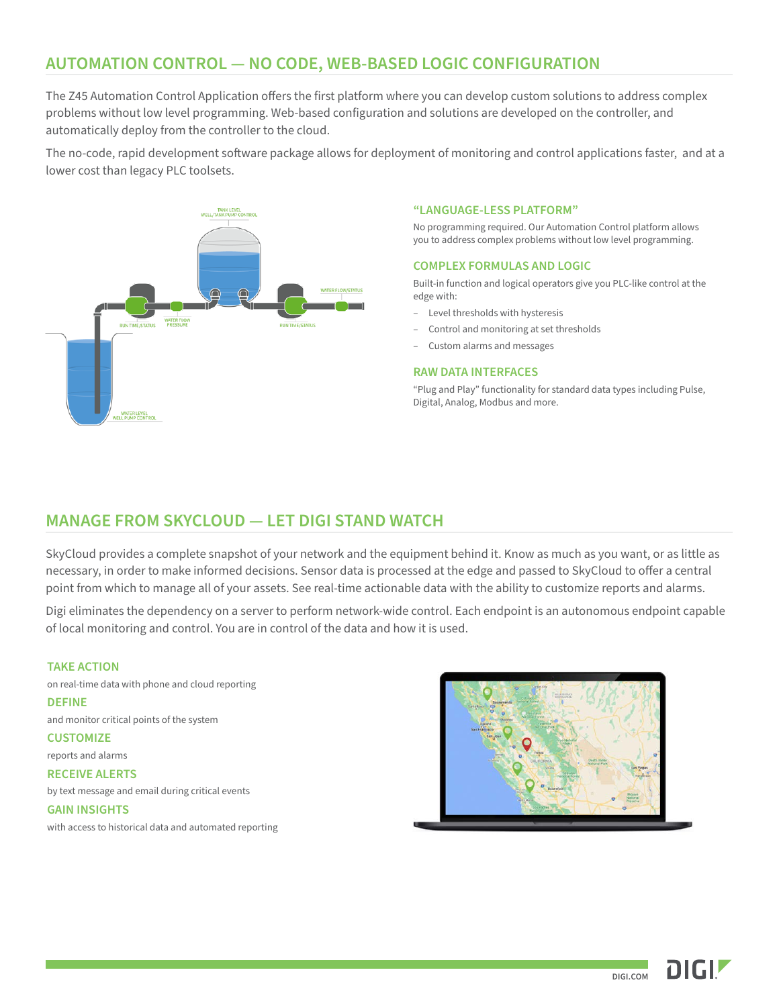### **AUTOMATION CONTROL — NO CODE, WEB-BASED LOGIC CONFIGURATION**

The Z45 Automation Control Application offers the first platform where you can develop custom solutions to address complex problems without low level programming. Web-based configuration and solutions are developed on the controller, and automatically deploy from the controller to the cloud.

The no-code, rapid development software package allows for deployment of monitoring and control applications faster, and at a lower cost than legacy PLC toolsets.



#### **"LANGUAGE-LESS PLATFORM"**

No programming required. Our Automation Control platform allows you to address complex problems without low level programming.

#### **COMPLEX FORMULAS AND LOGIC**

Built-in function and logical operators give you PLC-like control at the edge with:

- Level thresholds with hysteresis
- Control and monitoring at set thresholds
- Custom alarms and messages

#### **RAW DATA INTERFACES**

"Plug and Play" functionality for standard data types including Pulse, Digital, Analog, Modbus and more.

#### **MANAGE FROM SKYCLOUD — LET DIGI STAND WATCH**

SkyCloud provides a complete snapshot of your network and the equipment behind it. Know as much as you want, or as little as necessary, in order to make informed decisions. Sensor data is processed at the edge and passed to SkyCloud to offer a central point from which to manage all of your assets. See real-time actionable data with the ability to customize reports and alarms.

Digi eliminates the dependency on a server to perform network-wide control. Each endpoint is an autonomous endpoint capable of local monitoring and control. You are in control of the data and how it is used.

#### **TAKE ACTION**

on real-time data with phone and cloud reporting

#### **DEFINE**

and monitor critical points of the system

**CUSTOMIZE**

reports and alarms

#### **RECEIVE ALERTS**

by text message and email during critical events

#### **GAIN INSIGHTS**

with access to historical data and automated reporting



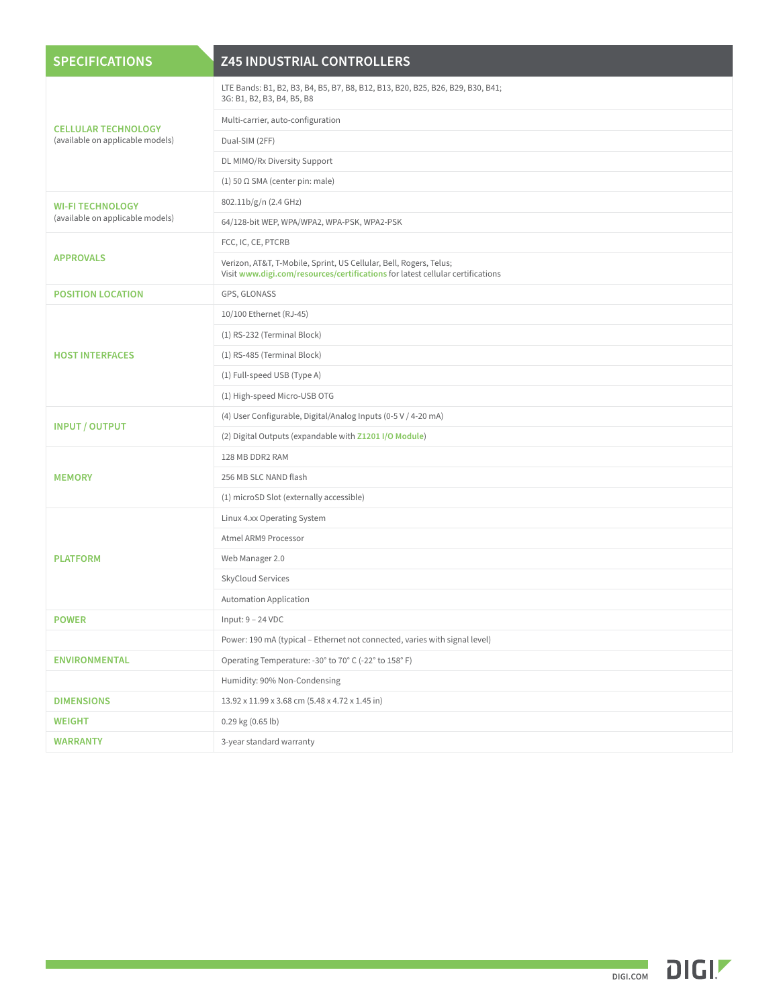| <b>SPECIFICATIONS</b>                                          | <b>Z45 INDUSTRIAL CONTROLLERS</b>                                                                                                                    |
|----------------------------------------------------------------|------------------------------------------------------------------------------------------------------------------------------------------------------|
| <b>CELLULAR TECHNOLOGY</b><br>(available on applicable models) | LTE Bands: B1, B2, B3, B4, B5, B7, B8, B12, B13, B20, B25, B26, B29, B30, B41;<br>3G: B1, B2, B3, B4, B5, B8                                         |
|                                                                | Multi-carrier, auto-configuration                                                                                                                    |
|                                                                | Dual-SIM (2FF)                                                                                                                                       |
|                                                                | DL MIMO/Rx Diversity Support                                                                                                                         |
|                                                                | $(1)$ 50 $\Omega$ SMA (center pin: male)                                                                                                             |
| <b>WI-FI TECHNOLOGY</b><br>(available on applicable models)    | 802.11b/g/n (2.4 GHz)                                                                                                                                |
|                                                                | 64/128-bit WEP, WPA/WPA2, WPA-PSK, WPA2-PSK                                                                                                          |
| <b>APPROVALS</b>                                               | FCC, IC, CE, PTCRB                                                                                                                                   |
|                                                                | Verizon, AT&T, T-Mobile, Sprint, US Cellular, Bell, Rogers, Telus;<br>Visit www.digi.com/resources/certifications for latest cellular certifications |
| <b>POSITION LOCATION</b>                                       | GPS, GLONASS                                                                                                                                         |
| <b>HOST INTERFACES</b>                                         | 10/100 Ethernet (RJ-45)                                                                                                                              |
|                                                                | (1) RS-232 (Terminal Block)                                                                                                                          |
|                                                                | (1) RS-485 (Terminal Block)                                                                                                                          |
|                                                                | (1) Full-speed USB (Type A)                                                                                                                          |
|                                                                | (1) High-speed Micro-USB OTG                                                                                                                         |
|                                                                | (4) User Configurable, Digital/Analog Inputs (0-5 V / 4-20 mA)                                                                                       |
| <b>INPUT / OUTPUT</b>                                          | (2) Digital Outputs (expandable with Z1201 I/O Module)                                                                                               |
|                                                                | 128 MB DDR2 RAM                                                                                                                                      |
| <b>MEMORY</b>                                                  | 256 MB SLC NAND flash                                                                                                                                |
|                                                                | (1) microSD Slot (externally accessible)                                                                                                             |
| <b>PLATFORM</b>                                                | Linux 4.xx Operating System                                                                                                                          |
|                                                                | Atmel ARM9 Processor                                                                                                                                 |
|                                                                | Web Manager 2.0                                                                                                                                      |
|                                                                | SkyCloud Services                                                                                                                                    |
|                                                                | <b>Automation Application</b>                                                                                                                        |
| <b>POWER</b>                                                   | Input: 9 - 24 VDC                                                                                                                                    |
|                                                                | Power: 190 mA (typical - Ethernet not connected, varies with signal level)                                                                           |
| <b>ENVIRONMENTAL</b>                                           | Operating Temperature: -30° to 70° C (-22° to 158° F)                                                                                                |
|                                                                | Humidity: 90% Non-Condensing                                                                                                                         |
| <b>DIMENSIONS</b>                                              | 13.92 x 11.99 x 3.68 cm (5.48 x 4.72 x 1.45 in)                                                                                                      |
| <b>WEIGHT</b>                                                  | $0.29$ kg $(0.65$ lb)                                                                                                                                |
| <b>WARRANTY</b>                                                | 3-year standard warranty                                                                                                                             |